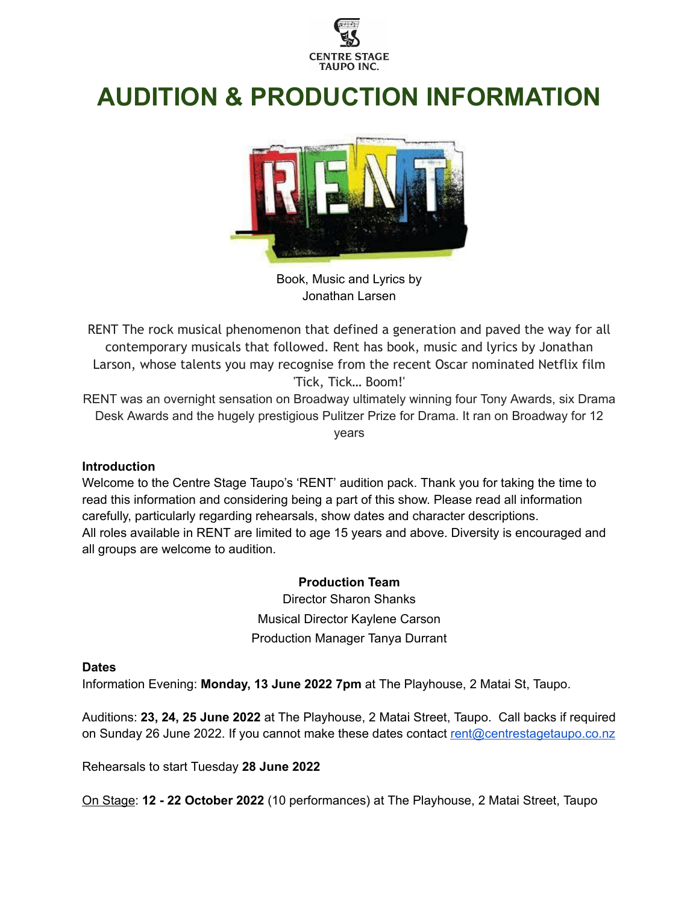

# **AUDITION & PRODUCTION INFORMATION**



Book, Music and Lyrics by Jonathan Larsen

RENT The rock musical phenomenon that defined a generation and paved the way for all contemporary musicals that followed. Rent has book, music and lyrics by Jonathan Larson, whose talents you may recognise from the recent Oscar nominated Netflix film 'Tick, Tick… Boom!'

RENT was an overnight sensation on Broadway ultimately winning four Tony Awards, six Drama Desk Awards and the hugely prestigious Pulitzer Prize for Drama. It ran on Broadway for 12 years

#### **Introduction**

Welcome to the Centre Stage Taupo's 'RENT' audition pack. Thank you for taking the time to read this information and considering being a part of this show. Please read all information carefully, particularly regarding rehearsals, show dates and character descriptions. All roles available in RENT are limited to age 15 years and above. Diversity is encouraged and all groups are welcome to audition.

#### **Production Team**

Director Sharon Shanks Musical Director Kaylene Carson Production Manager Tanya Durrant

#### **Dates**

Information Evening: **Monday, 13 June 2022 7pm** at The Playhouse, 2 Matai St, Taupo.

Auditions: **23, 24, 25 June 2022** at The Playhouse, 2 Matai Street, Taupo. Call backs if required on Sunday 26 June 2022. If you cannot make these dates contact [rent@centrestagetaupo.co.nz](mailto:rent@centrestage.co.nz)

Rehearsals to start Tuesday **28 June 2022**

On Stage: **12 - 22 October 2022** (10 performances) at The Playhouse, 2 Matai Street, Taupo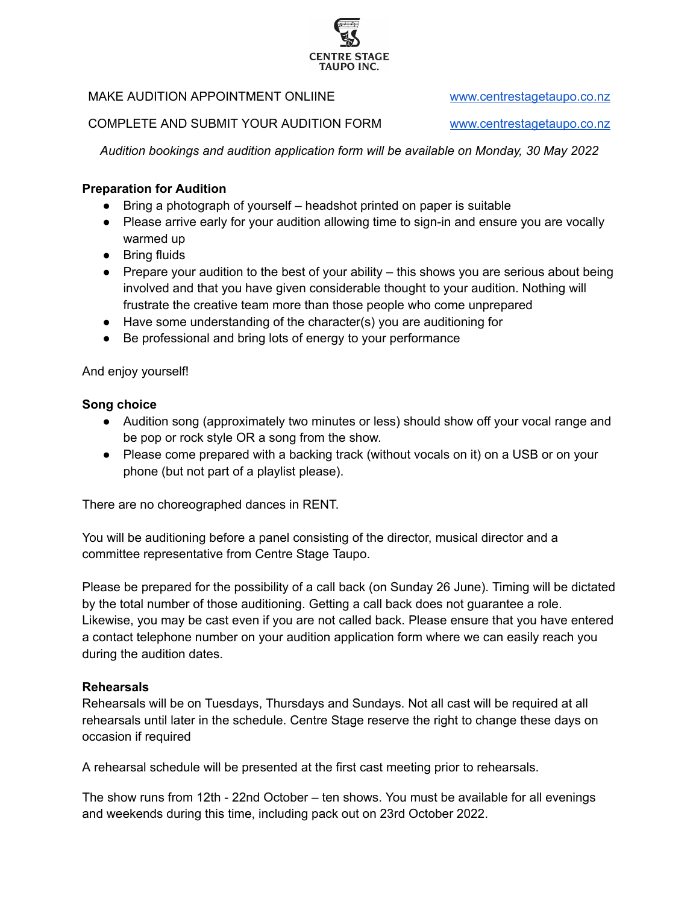# MAKE AUDITION APPOINTMENT ONLIINE [www.centrestagetaupo.co.nz](http://www.centrestagetaupo.co.nz/)

COMPLETE AND SUBMIT YOUR AUDITION FORM [www.centrestagetaupo.co.nz](http://www.centrestagetaupo.co.nz/)

*Audition bookings and audition application form will be available on Monday, 30 May 2022*

## **Preparation for Audition**

- Bring a photograph of yourself headshot printed on paper is suitable
- Please arrive early for your audition allowing time to sign-in and ensure you are vocally warmed up
- Bring fluids
- Prepare your audition to the best of your ability  $-$  this shows you are serious about being involved and that you have given considerable thought to your audition. Nothing will frustrate the creative team more than those people who come unprepared
- Have some understanding of the character(s) you are auditioning for
- Be professional and bring lots of energy to your performance

#### And enjoy yourself!

#### **Song choice**

- Audition song (approximately two minutes or less) should show off your vocal range and be pop or rock style OR a song from the show.
- Please come prepared with a backing track (without vocals on it) on a USB or on your phone (but not part of a playlist please).

There are no choreographed dances in RENT.

You will be auditioning before a panel consisting of the director, musical director and a committee representative from Centre Stage Taupo.

Please be prepared for the possibility of a call back (on Sunday 26 June). Timing will be dictated by the total number of those auditioning. Getting a call back does not guarantee a role. Likewise, you may be cast even if you are not called back. Please ensure that you have entered a contact telephone number on your audition application form where we can easily reach you during the audition dates.

#### **Rehearsals**

Rehearsals will be on Tuesdays, Thursdays and Sundays. Not all cast will be required at all rehearsals until later in the schedule. Centre Stage reserve the right to change these days on occasion if required

A rehearsal schedule will be presented at the first cast meeting prior to rehearsals.

The show runs from 12th - 22nd October – ten shows. You must be available for all evenings and weekends during this time, including pack out on 23rd October 2022.

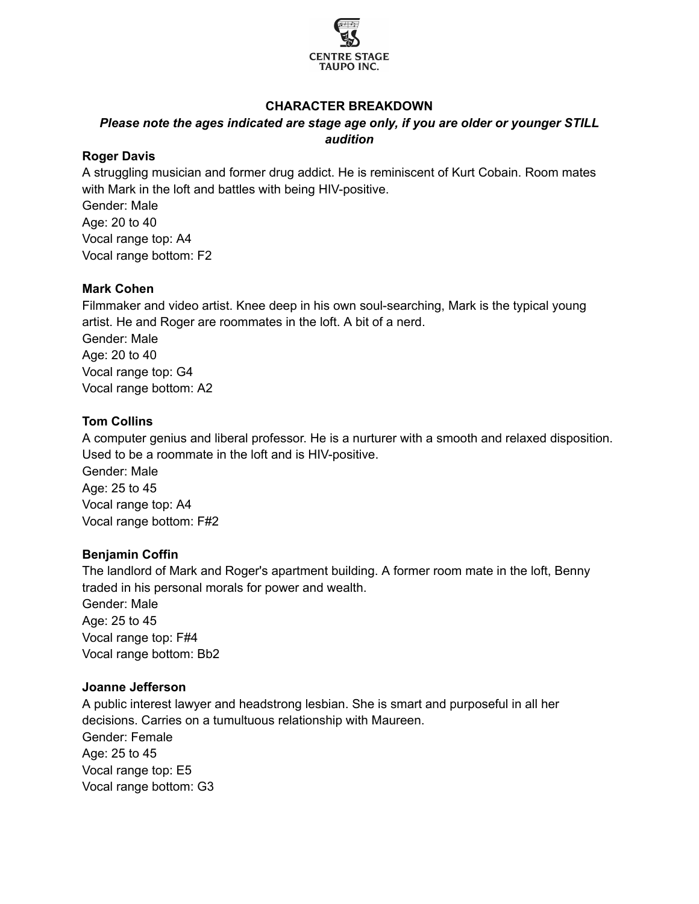

## **CHARACTER BREAKDOWN**

## *Please note the ages indicated are stage age only, if you are older or younger STILL audition*

#### **Roger Davis**

A struggling musician and former drug addict. He is reminiscent of Kurt Cobain. Room mates with Mark in the loft and battles with being HIV-positive.

Gender: Male Age: 20 to 40 Vocal range top: A4 Vocal range bottom: F2

#### **Mark Cohen**

Filmmaker and video artist. Knee deep in his own soul-searching, Mark is the typical young artist. He and Roger are roommates in the loft. A bit of a nerd. Gender: Male Age: 20 to 40 Vocal range top: G4 Vocal range bottom: A2

## **Tom Collins**

A computer genius and liberal professor. He is a nurturer with a smooth and relaxed disposition. Used to be a roommate in the loft and is HIV-positive.

Gender: Male Age: 25 to 45 Vocal range top: A4 Vocal range bottom: F#2

#### **Benjamin Coffin**

The landlord of Mark and Roger's apartment building. A former room mate in the loft, Benny traded in his personal morals for power and wealth. Gender: Male Age: 25 to 45 Vocal range top: F#4 Vocal range bottom: Bb2

# **Joanne Jefferson**

A public interest lawyer and headstrong lesbian. She is smart and purposeful in all her decisions. Carries on a tumultuous relationship with Maureen. Gender: Female Age: 25 to 45 Vocal range top: E5 Vocal range bottom: G3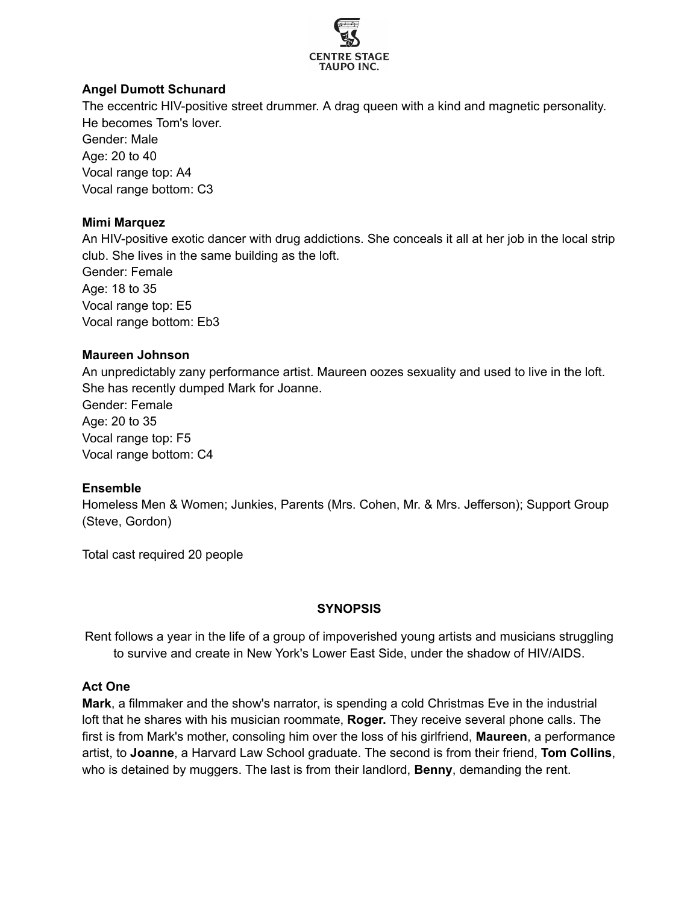

## **Angel Dumott Schunard**

The eccentric HIV-positive street drummer. A drag queen with a kind and magnetic personality. He becomes Tom's lover.

Gender: Male Age: 20 to 40 Vocal range top: A4 Vocal range bottom: C3

## **Mimi Marquez**

An HIV-positive exotic dancer with drug addictions. She conceals it all at her job in the local strip club. She lives in the same building as the loft.

Gender: Female Age: 18 to 35 Vocal range top: E5 Vocal range bottom: Eb3

## **Maureen Johnson**

An unpredictably zany performance artist. Maureen oozes sexuality and used to live in the loft. She has recently dumped Mark for Joanne.

Gender: Female Age: 20 to 35 Vocal range top: F5 Vocal range bottom: C4

# **Ensemble**

Homeless Men & Women; Junkies, Parents (Mrs. Cohen, Mr. & Mrs. Jefferson); Support Group (Steve, Gordon)

Total cast required 20 people

# **SYNOPSIS**

Rent follows a year in the life of a group of impoverished young artists and musicians struggling to survive and create in New York's Lower East Side, under the shadow of HIV/AIDS.

#### **Act One**

**Mark**, a filmmaker and the show's narrator, is spending a cold Christmas Eve in the industrial loft that he shares with his musician roommate, **Roger.** They receive several phone calls. The first is from Mark's mother, consoling him over the loss of his girlfriend, **Maureen**, a performance artist, to **Joanne**, a Harvard Law School graduate. The second is from their friend, **Tom Collins**, who is detained by muggers. The last is from their landlord, **Benny**, demanding the rent.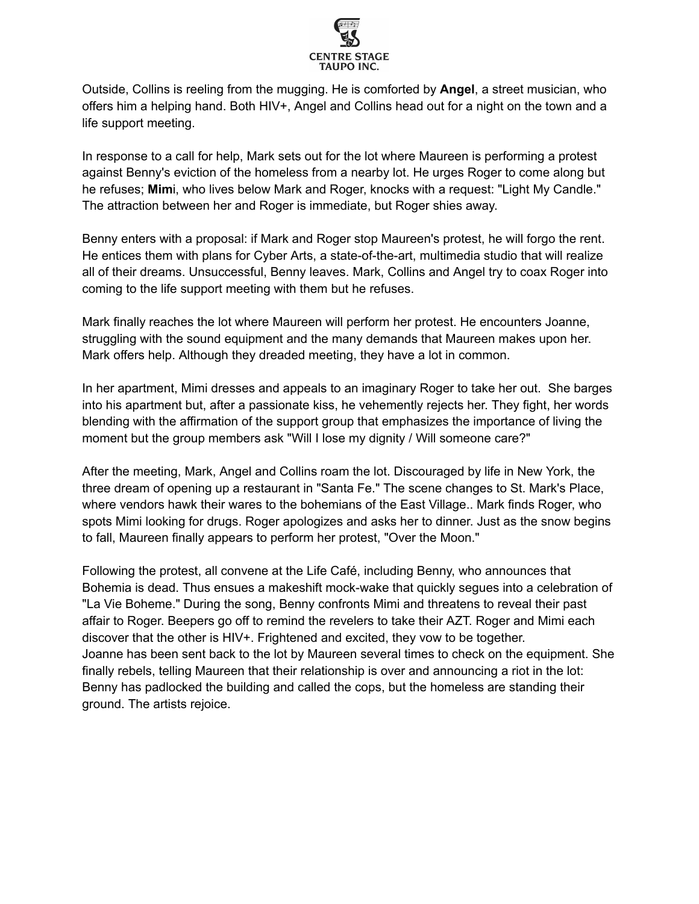

Outside, Collins is reeling from the mugging. He is comforted by **Angel**, a street musician, who offers him a helping hand. Both HIV+, Angel and Collins head out for a night on the town and a life support meeting.

In response to a call for help, Mark sets out for the lot where Maureen is performing a protest against Benny's eviction of the homeless from a nearby lot. He urges Roger to come along but he refuses; **Mim**i, who lives below Mark and Roger, knocks with a request: "Light My Candle." The attraction between her and Roger is immediate, but Roger shies away.

Benny enters with a proposal: if Mark and Roger stop Maureen's protest, he will forgo the rent. He entices them with plans for Cyber Arts, a state-of-the-art, multimedia studio that will realize all of their dreams. Unsuccessful, Benny leaves. Mark, Collins and Angel try to coax Roger into coming to the life support meeting with them but he refuses.

Mark finally reaches the lot where Maureen will perform her protest. He encounters Joanne, struggling with the sound equipment and the many demands that Maureen makes upon her. Mark offers help. Although they dreaded meeting, they have a lot in common.

In her apartment, Mimi dresses and appeals to an imaginary Roger to take her out. She barges into his apartment but, after a passionate kiss, he vehemently rejects her. They fight, her words blending with the affirmation of the support group that emphasizes the importance of living the moment but the group members ask "Will I lose my dignity / Will someone care?"

After the meeting, Mark, Angel and Collins roam the lot. Discouraged by life in New York, the three dream of opening up a restaurant in "Santa Fe." The scene changes to St. Mark's Place, where vendors hawk their wares to the bohemians of the East Village.. Mark finds Roger, who spots Mimi looking for drugs. Roger apologizes and asks her to dinner. Just as the snow begins to fall, Maureen finally appears to perform her protest, "Over the Moon."

Following the protest, all convene at the Life Café, including Benny, who announces that Bohemia is dead. Thus ensues a makeshift mock-wake that quickly segues into a celebration of "La Vie Boheme." During the song, Benny confronts Mimi and threatens to reveal their past affair to Roger. Beepers go off to remind the revelers to take their AZT. Roger and Mimi each discover that the other is HIV+. Frightened and excited, they vow to be together. Joanne has been sent back to the lot by Maureen several times to check on the equipment. She finally rebels, telling Maureen that their relationship is over and announcing a riot in the lot: Benny has padlocked the building and called the cops, but the homeless are standing their ground. The artists rejoice.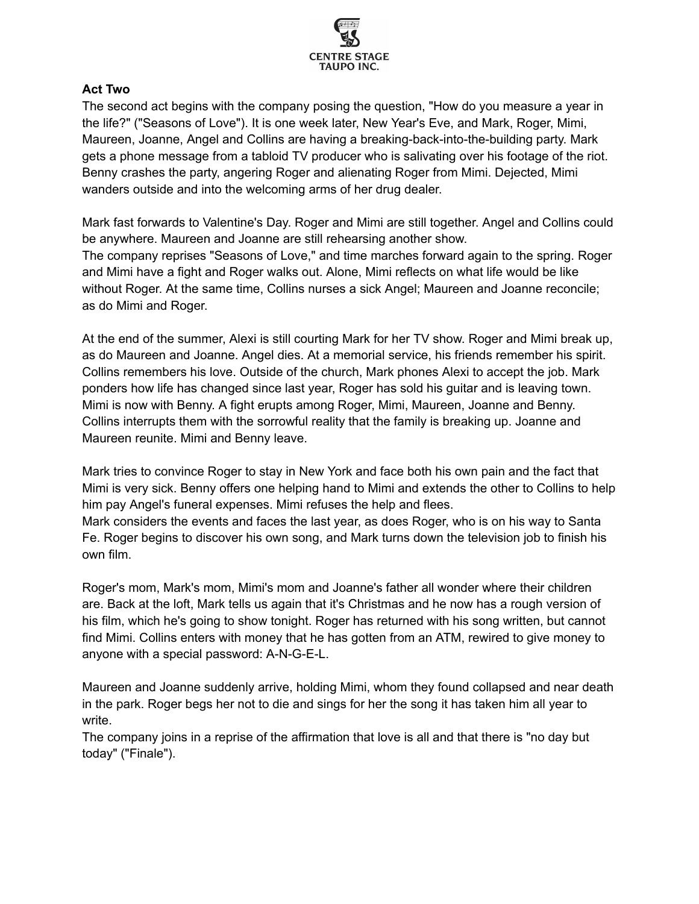

## **Act Two**

The second act begins with the company posing the question, "How do you measure a year in the life?" ("Seasons of Love"). It is one week later, New Year's Eve, and Mark, Roger, Mimi, Maureen, Joanne, Angel and Collins are having a breaking-back-into-the-building party. Mark gets a phone message from a tabloid TV producer who is salivating over his footage of the riot. Benny crashes the party, angering Roger and alienating Roger from Mimi. Dejected, Mimi wanders outside and into the welcoming arms of her drug dealer.

Mark fast forwards to Valentine's Day. Roger and Mimi are still together. Angel and Collins could be anywhere. Maureen and Joanne are still rehearsing another show. The company reprises "Seasons of Love," and time marches forward again to the spring. Roger and Mimi have a fight and Roger walks out. Alone, Mimi reflects on what life would be like without Roger. At the same time, Collins nurses a sick Angel; Maureen and Joanne reconcile; as do Mimi and Roger.

At the end of the summer, Alexi is still courting Mark for her TV show. Roger and Mimi break up, as do Maureen and Joanne. Angel dies. At a memorial service, his friends remember his spirit. Collins remembers his love. Outside of the church, Mark phones Alexi to accept the job. Mark ponders how life has changed since last year, Roger has sold his guitar and is leaving town. Mimi is now with Benny. A fight erupts among Roger, Mimi, Maureen, Joanne and Benny. Collins interrupts them with the sorrowful reality that the family is breaking up. Joanne and Maureen reunite. Mimi and Benny leave.

Mark tries to convince Roger to stay in New York and face both his own pain and the fact that Mimi is very sick. Benny offers one helping hand to Mimi and extends the other to Collins to help him pay Angel's funeral expenses. Mimi refuses the help and flees.

Mark considers the events and faces the last year, as does Roger, who is on his way to Santa Fe. Roger begins to discover his own song, and Mark turns down the television job to finish his own film.

Roger's mom, Mark's mom, Mimi's mom and Joanne's father all wonder where their children are. Back at the loft, Mark tells us again that it's Christmas and he now has a rough version of his film, which he's going to show tonight. Roger has returned with his song written, but cannot find Mimi. Collins enters with money that he has gotten from an ATM, rewired to give money to anyone with a special password: A-N-G-E-L.

Maureen and Joanne suddenly arrive, holding Mimi, whom they found collapsed and near death in the park. Roger begs her not to die and sings for her the song it has taken him all year to write.

The company joins in a reprise of the affirmation that love is all and that there is "no day but today" ("Finale").